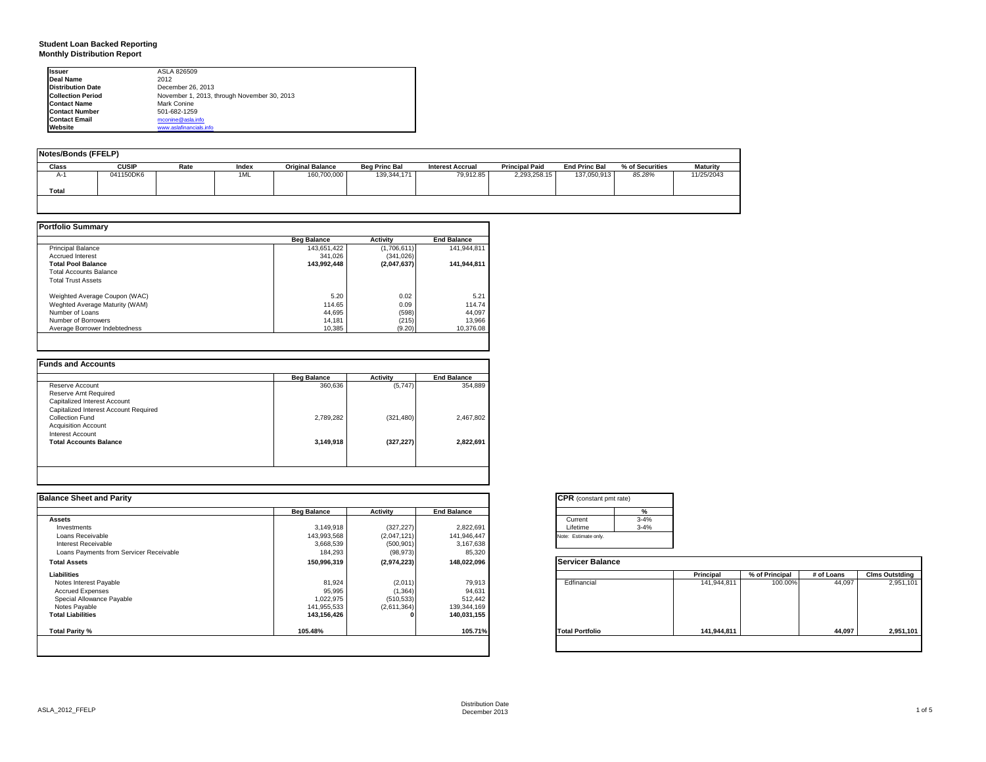### **Student Loan Backed Reporting Monthly Distribution Report**

| <b>Issuer</b>            | ASLA 826509                                 |
|--------------------------|---------------------------------------------|
| Deal Name                | 2012                                        |
| <b>Distribution Date</b> | December 26, 2013                           |
| <b>Collection Period</b> | November 1, 2013, through November 30, 2013 |
| <b>Contact Name</b>      | Mark Conine                                 |
| <b>Contact Number</b>    | 501-682-1259                                |
| <b>Contact Email</b>     | mconine@asla.info                           |
| Website                  | www.aslafinancials.info                     |

| Notes/Bonds (FFELP) |              |      |       |                         |                      |                         |                       |                      |                 |                 |
|---------------------|--------------|------|-------|-------------------------|----------------------|-------------------------|-----------------------|----------------------|-----------------|-----------------|
| Class               | <b>CUSIP</b> | Rate | Index | <b>Original Balance</b> | <b>Beg Princ Bal</b> | <b>Interest Accrual</b> | <b>Principal Paid</b> | <b>End Princ Bal</b> | % of Securities | <b>Maturity</b> |
| A-1                 | 041150DK6    |      | 1ML   | 160,700,000             | 139,344,171          | 79.912.85               | 2.293.258.15          | 137.050.913          | 85.28%          | 11/25/2043      |
| Total               |              |      |       |                         |                      |                         |                       |                      |                 |                 |

|                                | <b>Beg Balance</b> | <b>Activity</b> | <b>End Balance</b> |
|--------------------------------|--------------------|-----------------|--------------------|
| <b>Principal Balance</b>       | 143.651.422        | (1,706,611)     | 141.944.811        |
| <b>Accrued Interest</b>        | 341.026            | (341, 026)      |                    |
| <b>Total Pool Balance</b>      | 143.992.448        | (2,047,637)     | 141.944.811        |
| <b>Total Accounts Balance</b>  |                    |                 |                    |
| <b>Total Trust Assets</b>      |                    |                 |                    |
| Weighted Average Coupon (WAC)  | 5.20               | 0.02            | 5.21               |
| Weghted Average Maturity (WAM) | 114.65             | 0.09            | 114.74             |
| Number of Loans                | 44.695             | (598)           | 44.097             |
| Number of Borrowers            | 14,181             | (215)           | 13,966             |
| Average Borrower Indebtedness  | 10.385             | (9.20)          | 10.376.08          |

|                                       | <b>Beg Balance</b> | Activity   | <b>End Balance</b> |
|---------------------------------------|--------------------|------------|--------------------|
| Reserve Account                       | 360,636            | (5,747)    | 354,889            |
| Reserve Amt Required                  |                    |            |                    |
| Capitalized Interest Account          |                    |            |                    |
| Capitalized Interest Account Required |                    |            |                    |
| Collection Fund                       | 2,789,282          | (321, 480) | 2,467,802          |
| <b>Acquisition Account</b>            |                    |            |                    |
| Interest Account                      |                    |            |                    |
| <b>Total Accounts Balance</b>         | 3,149,918          | (327, 227) | 2,822,691          |
|                                       |                    |            |                    |
|                                       |                    |            |                    |
|                                       |                    |            |                    |

| <b>Balance Sheet and Parity</b>         |                    |             |                    | <b>CPR</b> (constant pmt rate) |             |                |            |                       |
|-----------------------------------------|--------------------|-------------|--------------------|--------------------------------|-------------|----------------|------------|-----------------------|
|                                         | <b>Beg Balance</b> | Activity    | <b>End Balance</b> |                                |             |                |            |                       |
| <b>Assets</b>                           |                    |             |                    | $3 - 4%$<br>Current            |             |                |            |                       |
| Investments                             | 3,149,918          | (327, 227)  | 2,822,691          | $3 - 4%$<br>Lifetime           |             |                |            |                       |
| Loans Receivable                        | 143,993,568        | (2,047,121) | 141,946,447        | Note: Estimate only.           |             |                |            |                       |
| Interest Receivable                     | 3,668,539          | (500, 901)  | 3,167,638          |                                |             |                |            |                       |
| Loans Payments from Servicer Receivable | 184,293            | (98, 973)   | 85,320             |                                |             |                |            |                       |
| <b>Total Assets</b>                     | 150,996,319        | (2,974,223) | 148,022,096        | <b>Servicer Balance</b>        |             |                |            |                       |
| Liabilities                             |                    |             |                    |                                | Principal   | % of Principal | # of Loans | <b>Clms Outstding</b> |
| Notes Interest Payable                  | 81,924             | (2,011)     | 79,913             | Edfinancial                    | 141,944,811 | 100.00%        | 44,097     | 2,951,101             |
| <b>Accrued Expenses</b>                 | 95,995             | (1, 364)    | 94,631             |                                |             |                |            |                       |
| Special Allowance Payable               | 1,022,975          | (510, 533)  | 512,442            |                                |             |                |            |                       |
| Notes Payable                           | 141,955,533        | (2,611,364) | 139,344,169        |                                |             |                |            |                       |
| <b>Total Liabilities</b>                | 143,156,426        |             | 140,031,155        |                                |             |                |            |                       |
| Total Parity %                          | 105.48%            |             | 105.71%            | <b>Total Portfolio</b>         | 141,944,811 |                | 44,097     | 2,951,101             |
|                                         |                    |             |                    |                                |             |                |            |                       |
|                                         |                    |             |                    |                                |             |                |            |                       |

| Current  | $3 - 4%$ |
|----------|----------|
| Lifetime | $3 - 4%$ |

|                        | Principal   | % of Principal | # of Loans | <b>Clms Outstding</b> |
|------------------------|-------------|----------------|------------|-----------------------|
| Edfinancial            | 141,944,811 | 100.00%        | 44,097     | 2,951,101             |
| <b>Total Portfolio</b> | 141,944,811 |                | 44,097     | 2,951,101             |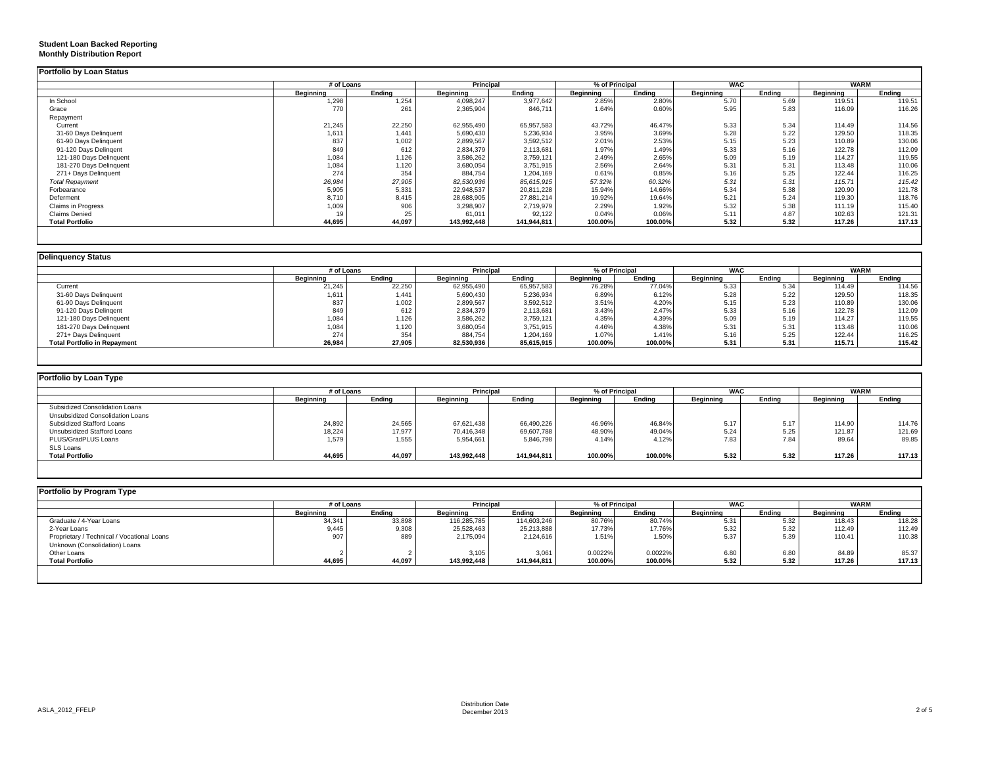### **Student Loan Backed Reporting Monthly Distribution Report**

|                           | # of Loans |        |             | Principal   |           | % of Principal |           | <b>WAC</b> |           | WARM   |
|---------------------------|------------|--------|-------------|-------------|-----------|----------------|-----------|------------|-----------|--------|
|                           | Beginning  | Endina | Beginning   | Ending      | Beginning | Ending         | Beginning | Ending     | Beginning | Ending |
| In School                 | 1,298      | 1,254  | 4,098,247   | 3,977,642   | 2.85%     | 2.80%          | 5.70      | 5.69       | 119.51    | 119.51 |
| Grace                     | 770        | 261    | 2,365,904   | 846,711     | 1.64%     | 0.60%          | 5.95      | 5.83       | 116.09    | 116.26 |
| Repayment                 |            |        |             |             |           |                |           |            |           |        |
| Current                   | 21,245     | 22,250 | 62,955,490  | 65,957,583  | 43.72%    | 46.47%         | 5.33      | 5.34       | 114.49    | 114.56 |
| 31-60 Days Delinquent     | 1,611      | 1.441  | 5,690,430   | 5,236,934   | 3.95%     | 3.69%          | 5.28      | 5.22       | 129.50    | 118.35 |
| 61-90 Days Delinquent     | 837        | 1,002  | 2,899,567   | 3,592,512   | 2.01%     | 2.53%          | 5.15      | 5.23       | 110.89    | 130.06 |
| 91-120 Days Delingent     | 849        | 612    | 2,834,379   | 2,113,681   | 1.97%     | 1.49%          | 5.33      | 5.16       | 122.78    | 112.09 |
| 121-180 Days Delinquent   | 1,084      | 1,126  | 3,586,262   | 3,759,121   | 2.49%     | 2.65%          | 5.09      | 5.19       | 114.27    | 119.55 |
| 181-270 Days Delinquent   | 1,084      | 1,120  | 3,680,054   | 3,751,915   | 2.56%     | 2.64%          | 5.31      | 5.31       | 113.48    | 110.06 |
| 271+ Days Delinquent      | 274        | 354    | 884,754     | 1,204,169   | 0.61%     | 0.85%          | 5.16      | 5.25       | 122.44    | 116.25 |
| <b>Total Repayment</b>    | 26,984     | 27,905 | 82,530,936  | 85,615,915  | 57.32%    | 60.32%         | 5.31      | 5.31       | 115.71    | 115.42 |
| Forbearance               | 5,905      | 5,331  | 22,948,537  | 20,811,228  | 15.94%    | 14.66%         | 5.34      | 5.38       | 120.90    | 121.78 |
| Deferment                 | 8,710      | 8,415  | 28,688,905  | 27,881,214  | 19.92%    | 19.64%         | 5.21      | 5.24       | 119.30    | 118.76 |
| <b>Claims in Progress</b> | 1,009      | 906    | 3,298,907   | 2,719,979   | 2.29%     | 1.92%          | 5.32      | 5.38       | 111.19    | 115.40 |
| <b>Claims Denied</b>      |            | 25     | 61,011      | 92,122      | 0.04%     | 0.06%          | 5.11      | 4.87       | 102.63    | 121.31 |
| <b>Total Portfolio</b>    | 44,695     | 44,097 | 143,992,448 | 141,944,811 | 100.00%   | 100.00%        | 5.32      | 5.32       | 117.26    | 117.13 |

| <b>Delinguency Status</b>           |                  |        |                  |            |                |         |                  |        |                  |        |
|-------------------------------------|------------------|--------|------------------|------------|----------------|---------|------------------|--------|------------------|--------|
|                                     | # of Loans       |        | <b>Principal</b> |            | % of Principal |         | <b>WAC</b>       |        | <b>WARM</b>      |        |
|                                     | <b>Beginning</b> | Endina | <b>Beginning</b> | Endina     | Beginning      | Endina  | <b>Beginning</b> | Endina | <b>Beginning</b> | Ending |
| Current                             | 21,245           | 22,250 | 62,955,490       | 65,957,583 | 76.28%         | 77.04%  | 5.33             | 5.34   | 114.49           | 114.56 |
| 31-60 Days Delinquent               | 1,611            | 1.441  | 5,690,430        | 5,236,934  | 6.89%          | 6.12%   | 5.28             | 5.22   | 129.50           | 118.35 |
| 61-90 Days Delinquent               | 837              | 1,002  | 2,899,567        | 3,592,512  | 3.51%          | 4.20%   | 5.15             | 5.23   | 110.89           | 130.06 |
| 91-120 Days Delingent               | 849              | 612    | 2,834,379        | 2,113,681  | 3.43%          | 2.47%   | 5.33             | 5.16   | 122.78           | 112.09 |
| 121-180 Days Delinquent             | 1,084            | 1.126  | 3,586,262        | 3,759,121  | 4.35%          | 4.39%   | 5.09             | 5.19   | 114.27           | 119.55 |
| 181-270 Days Delinquent             | 1,084            | 1,120  | 3,680,054        | 3,751,915  | 4.46%          | 4.38%   | 5.31             | 5.31   | 113.48           | 110.06 |
| 271+ Days Delinquent                | 274              | 354    | 884.754          | 1.204.169  | 1.07%          | 1.41%   | 5.16             | 5.25   | 122.44           | 116.25 |
| <b>Total Portfolio in Repayment</b> | 26,984           | 27,905 | 82,530,936       | 85,615,915 | 100.00%        | 100.00% | 5.31             | 5.31   | 115.71           | 115.42 |

| Portfolio by Loan Type           |                  |        |                  |             |                  |         |                  |        |                  |        |
|----------------------------------|------------------|--------|------------------|-------------|------------------|---------|------------------|--------|------------------|--------|
|                                  | # of Loans       |        | <b>Principal</b> |             | % of Principal   |         | <b>WAC</b>       |        | <b>WARM</b>      |        |
|                                  | <b>Beginning</b> | Ending | <b>Beginning</b> | Ending      | <b>Beginning</b> | Ending  | <b>Beginning</b> | Ending | <b>Beginning</b> | Ending |
| Subsidized Consolidation Loans   |                  |        |                  |             |                  |         |                  |        |                  |        |
| Unsubsidized Consolidation Loans |                  |        |                  |             |                  |         |                  |        |                  |        |
| Subsidized Stafford Loans        | 24,892           | 24,565 | 67,621,438       | 66,490,226  | 46.96%           | 46.84%  | 5.17             | 5.17   | 114.90           | 114.76 |
| Unsubsidized Stafford Loans      | 18,224           | 17,977 | 70,416,348       | 69,607,788  | 48.90%           | 49.04%  | 5.24             | 5.25   | 121.87           | 121.69 |
| PLUS/GradPLUS Loans              | 1,579            | 1,555  | 5,954,661        | 5,846,798   | 4.14%            | 4.12%   | 7.83             | 7.84   | 89.64            | 89.85  |
| SLS Loans                        |                  |        |                  |             |                  |         |                  |        |                  |        |
| <b>Total Portfolio</b>           | 44,695           | 44,097 | 143,992,448      | 141.944.811 | 100.00%          | 100.00% | 5.32             | 5.32   | 117.26           | 117.13 |

|                                            |           | # of Loans |             | Principal   |                  | % of Principal |           | <b>WAC</b> |                  | <b>WARM</b> |  |
|--------------------------------------------|-----------|------------|-------------|-------------|------------------|----------------|-----------|------------|------------------|-------------|--|
|                                            | Beginning | Endina     | Beainnina   | Endina      | <b>Beginning</b> | Endina         | Beainnina | Endina     | <b>Beginning</b> | Endina      |  |
| Graduate / 4-Year Loans                    | 34,341    | 33,898     | 116,285,785 | 114,603,246 | 80.76%           | 80.74%         | 5.31      | 5.32       | 118.43           | 118.28      |  |
| 2-Year Loans                               | 9,445     | 9,308      | 25,528,463  | 25,213,888  | 17.73%           | 17.76%         | 5.32      | 5.32       | 112.49           | 112.49      |  |
| Proprietary / Technical / Vocational Loans | 907       | 889        | 2,175,094   | 2,124,616   | 1.51%            | 1.50%          | 5.37      | 5.39       | 110.41           | 110.38      |  |
| Unknown (Consolidation) Loans              |           |            |             |             |                  |                |           |            |                  |             |  |
| Other Loans                                |           |            | 3,105       | 3,061       | 0.0022%          | 0.0022%        | 6.80      | 6.80       | 84.89            | 85.37       |  |
| <b>Total Portfolio</b>                     | 44,695    | 44,097     | 143,992,448 | 141,944,811 | 100.00%          | 100.00%        | 5.32      | 5.32       | 117.26           | 117.13      |  |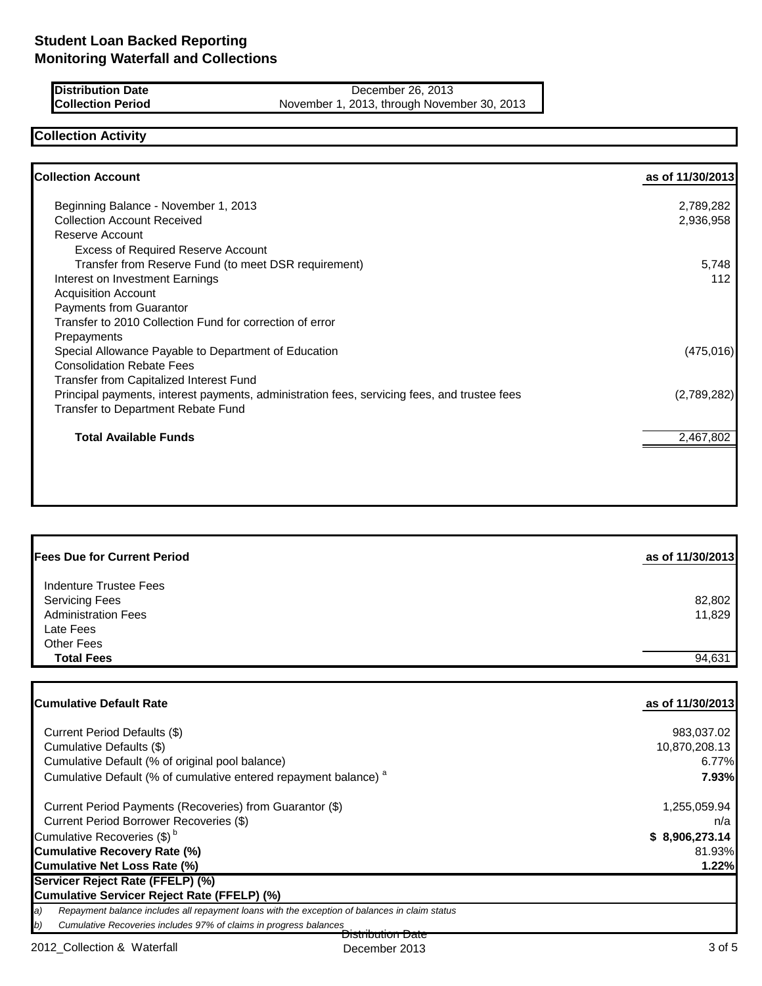| Distribution Date |  |
|-------------------|--|
| Collection Period |  |

**December 26, 2013** November 1, 2013, through November 30, 2013

## **Collection Activity**

| <b>Collection Account</b>                                                                    | as of 11/30/2013 |
|----------------------------------------------------------------------------------------------|------------------|
| Beginning Balance - November 1, 2013                                                         | 2,789,282        |
| <b>Collection Account Received</b>                                                           | 2,936,958        |
| Reserve Account                                                                              |                  |
| <b>Excess of Required Reserve Account</b>                                                    |                  |
| Transfer from Reserve Fund (to meet DSR requirement)                                         | 5,748            |
| Interest on Investment Earnings                                                              | 112              |
| <b>Acquisition Account</b>                                                                   |                  |
| Payments from Guarantor                                                                      |                  |
| Transfer to 2010 Collection Fund for correction of error                                     |                  |
| Prepayments                                                                                  |                  |
| Special Allowance Payable to Department of Education                                         | (475, 016)       |
| <b>Consolidation Rebate Fees</b>                                                             |                  |
| Transfer from Capitalized Interest Fund                                                      |                  |
| Principal payments, interest payments, administration fees, servicing fees, and trustee fees | (2,789,282)      |
| Transfer to Department Rebate Fund                                                           |                  |
| <b>Total Available Funds</b>                                                                 | 2,467,802        |
|                                                                                              |                  |
|                                                                                              |                  |

| <b>Fees Due for Current Period</b>                                                                              | as of 11/30/2013 |
|-----------------------------------------------------------------------------------------------------------------|------------------|
| Indenture Trustee Fees<br><b>Servicing Fees</b><br><b>Administration Fees</b><br>Late Fees<br><b>Other Fees</b> | 82,802<br>11,829 |
| <b>Total Fees</b>                                                                                               | 94,631           |

| <b>ICumulative Default Rate</b>                                                                           | as of 11/30/2013 |
|-----------------------------------------------------------------------------------------------------------|------------------|
| Current Period Defaults (\$)                                                                              | 983,037.02       |
| Cumulative Defaults (\$)                                                                                  | 10,870,208.13    |
| Cumulative Default (% of original pool balance)                                                           | 6.77%            |
| Cumulative Default (% of cumulative entered repayment balance) <sup>a</sup>                               | 7.93%            |
| Current Period Payments (Recoveries) from Guarantor (\$)                                                  | 1,255,059.94     |
| Current Period Borrower Recoveries (\$)                                                                   | n/a              |
| Cumulative Recoveries (\$) <sup>b</sup>                                                                   | \$8,906,273.14   |
| Cumulative Recovery Rate (%)                                                                              | 81.93%           |
| Cumulative Net Loss Rate (%)                                                                              | 1.22%            |
| Servicer Reject Rate (FFELP) (%)                                                                          |                  |
| Cumulative Servicer Reject Rate (FFELP) (%)                                                               |                  |
| Repayment balance includes all repayment loans with the exception of balances in claim status<br>$\bm{a}$ |                  |
| (b<br>Cumulative Recoveries includes 97% of claims in progress balances                                   |                  |
| Distribution Date                                                                                         |                  |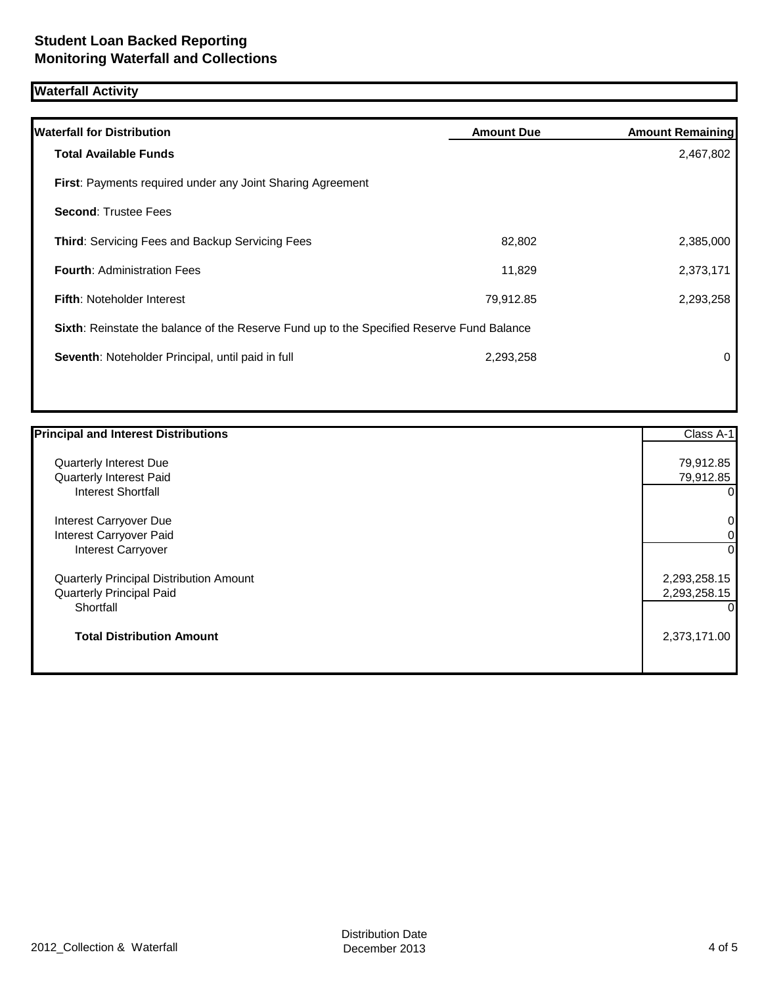# **Waterfall Activity**

| <b>Waterfall for Distribution</b>                                                         | <b>Amount Due</b> | <b>Amount Remaining</b> |
|-------------------------------------------------------------------------------------------|-------------------|-------------------------|
| <b>Total Available Funds</b>                                                              |                   | 2,467,802               |
| First: Payments required under any Joint Sharing Agreement                                |                   |                         |
| <b>Second: Trustee Fees</b>                                                               |                   |                         |
| Third: Servicing Fees and Backup Servicing Fees                                           | 82,802            | 2,385,000               |
| <b>Fourth: Administration Fees</b>                                                        | 11,829            | 2,373,171               |
| <b>Fifth: Noteholder Interest</b>                                                         | 79,912.85         | 2,293,258               |
| Sixth: Reinstate the balance of the Reserve Fund up to the Specified Reserve Fund Balance |                   |                         |
| Seventh: Noteholder Principal, until paid in full                                         | 2,293,258         | 0                       |
|                                                                                           |                   |                         |

| <b>Principal and Interest Distributions</b> | Class A-1    |
|---------------------------------------------|--------------|
| Quarterly Interest Due                      | 79,912.85    |
| Quarterly Interest Paid                     | 79,912.85    |
| <b>Interest Shortfall</b>                   | 0            |
| Interest Carryover Due                      | 0            |
| Interest Carryover Paid                     | 0            |
| <b>Interest Carryover</b>                   | $\Omega$     |
| Quarterly Principal Distribution Amount     | 2,293,258.15 |
| <b>Quarterly Principal Paid</b>             | 2,293,258.15 |
| Shortfall                                   |              |
| <b>Total Distribution Amount</b>            | 2,373,171.00 |
|                                             |              |